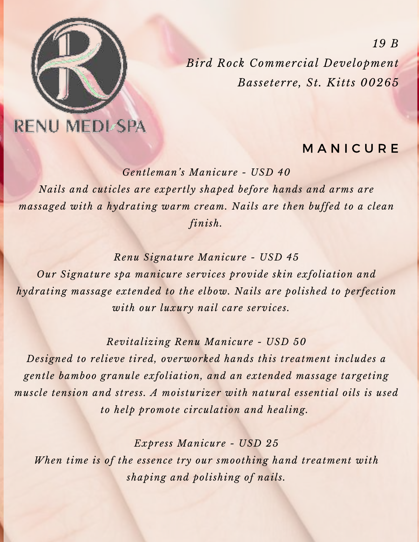

**RENU MEDI SPA** 

## **MANICURE**

*Gentleman's Manicure - USD 40 Nails and cuticles are expertly shaped before hands and arms are massaged with a hydrating warm cream. Nails are then buffed to a clean finish.*

*Renu Signature Manicure - USD 45*

*Our Signature spa manicure services provide skin exfoliation and hydrating massage extended to the elbow. Nails are polished to perfection with our luxury nail care services.* 

*Revitalizing Renu Manicure - USD 50*

*Designed to relieve tired, overworked hands this treatment includes a gentle bamboo granule exfoliation, and an extended massage targeting muscle tension and stress. A moisturizer with natural essential oils is used to help promote circulation and healing.* 

*Express Manicure - USD 25 When time is of the essence try our smoothing hand treatment with shaping and polishing of nails.*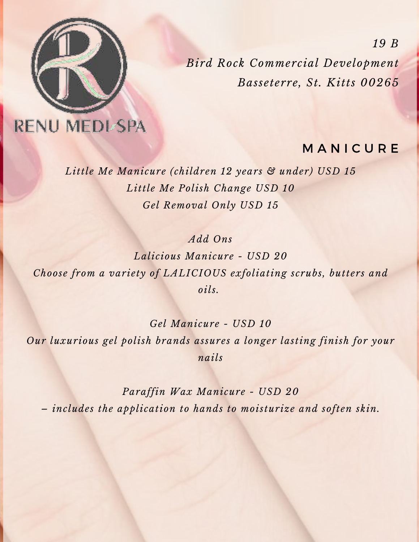

**RENU MEDI-SPA** 

### **MANICURE**

*Little Me Manicure (children 12 years & under) USD 15 Little Me Polish Change USD 10 Gel Removal Only USD 15*

*Add Ons*

*Lalicious Manicure - USD 20 Choose from a variety of LALICIOUS exfoliating scrubs, butters and oils.* 

*Gel Manicure - USD 10 Our luxurious gel polish brands assures a longer lasting finish for your nails*

*Paraffin Wax Manicure - USD 20 – includes the application to hands to moisturize and soften skin.*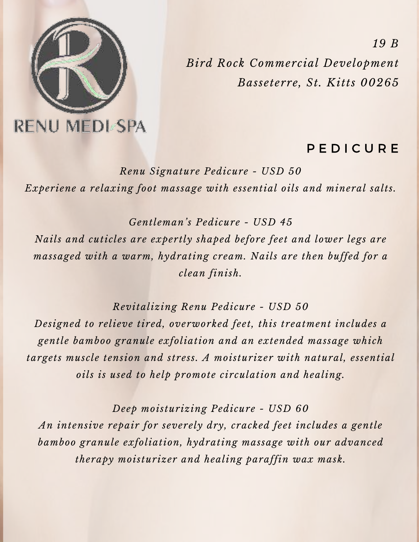

### **PEDICURE**

*Renu Signature Pedicure - USD 50 Experiene a relaxing foot massage with essential oils and mineral salts.*

*Gentleman's Pedicure - USD 45 Nails and cuticles are expertly shaped before feet and lower legs are massaged with a warm, hydrating cream. Nails are then buffed for a clean finish.*

*Revitalizing Renu Pedicure - USD 50 Designed to relieve tired, overworked feet, this treatment includes a gentle bamboo granule exfoliation and an extended massage which targets muscle tension and stress. A moisturizer with natural, essential oils is used to help promote circulation and healing.*

*Deep moisturizing Pedicure - USD 60 An intensive repair for severely dry, cracked feet includes a gentle bamboo granule exfoliation, hydrating massage with our advanced therapy moisturizer and healing paraffin wax mask.*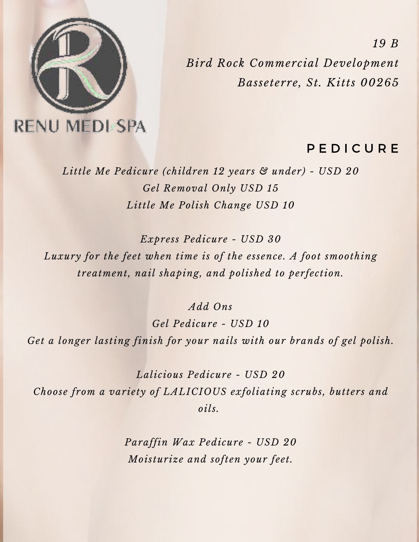

#### **PEDICURE**

*Little Me Pedicure (children 12 years & under) - USD 20 Gel Removal Only USD 15 Little Me Polish Change USD 10*

*Express Pedicure - USD 30*

*Luxury for the feet when time is of the essence. A foot smoothing treatment, nail shaping, and polished to perfection.*

*Add Ons*

*Gel Pedicure - USD 10 Get a longer lasting finish for your nails with our brands of gel polish.*

*Lalicious Pedicure - USD 20 Choose from a variety of LALICIOUS exfoliating scrubs, butters and oils.* 

> *Paraffin Wax Pedicure - USD 20 Moisturize and soften your feet.*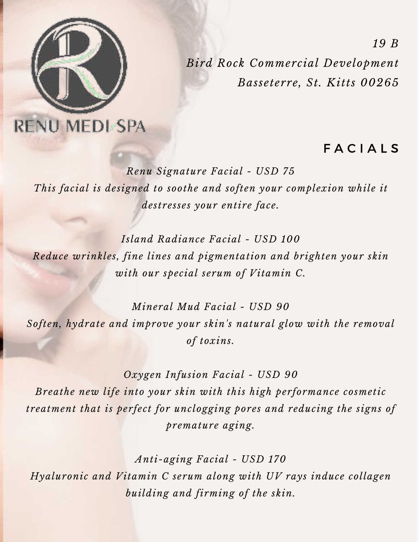

**RENU MEDI SPA** 

## **FACIALS**

*Renu Signature Facial - USD 75 This facial is designed to soothe and soften your complexion while it destresses your entire face.*

*Island Radiance Facial - USD 100 Reduce wrinkles, fine lines and pigmentation and brighten your skin with our special serum of Vitamin C.*

*Mineral Mud Facial - USD 90 Soften, hydrate and improve your skin's natural glow with the removal of toxins.*

*Oxygen Infusion Facial - USD 90 Breathe new life into your skin with this high performance cosmetic treatment that is perfect for unclogging pores and reducing the signs of premature aging.*

*Anti-aging Facial - USD 170 Hyaluronic and Vitamin C serum along with UV rays induce collagen building and firming of the skin.*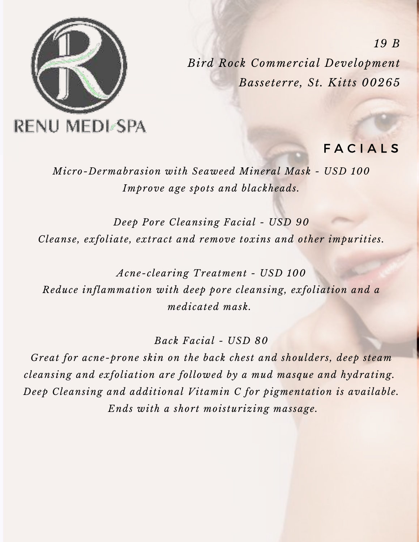

**FACIALS** 

*Micro-Dermabrasion with Seaweed Mineral Mask - USD 100 Improve age spots and blackheads.*

*Deep Pore Cleansing Facial - USD 90 Cleanse, exfoliate, extract and remove toxins and other impurities.*

*Acne-clearing Treatment - USD 100 Reduce inflammation with deep pore cleansing, exfoliation and a medicated mask.* 

*Back Facial - USD 80*

*Great for acne-prone skin on the back chest and shoulders, deep steam cleansing and exfoliation are followed by a mud masque and hydrating. Deep Cleansing and additional Vitamin C for pigmentation is available. Ends with a short moisturizing massage.*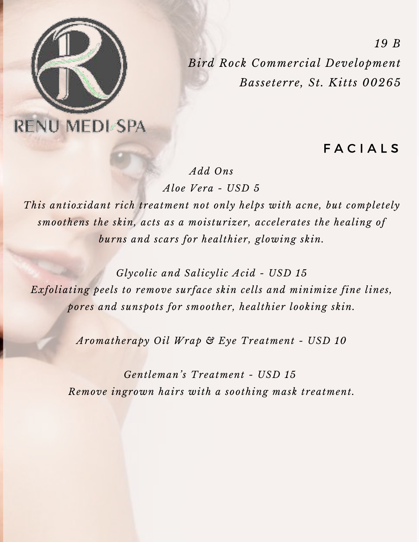

F A C I A L S

*Add Ons*

*Aloe Vera - USD 5*

*This antioxidant rich treatment not only helps with acne, but completely smoothens the skin, acts as a moisturizer, accelerates the healing of burns and scars for healthier, glowing skin.*

*Glycolic and Salicylic Acid - USD 15 Exfoliating peels to remove surface skin cells and minimize fine lines, pores and sunspots for smoother, healthier looking skin.*

*Aromatherapy Oil Wrap & Eye Treatment - USD 10*

*Gentleman's Treatment - USD 15 Remove ingrown hairs with a soothing mask treatment.*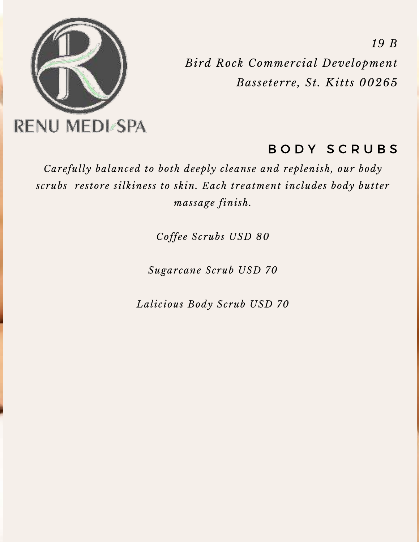

# BODY SCRUBS

*Carefully balanced to both deeply cleanse and replenish, our body scrubs restore silkiness to skin. Each treatment includes body butter massage finish.*

*Coffee Scrubs USD 80*

*Sugarcane Scrub USD 70*

*Lalicious Body Scrub USD 70*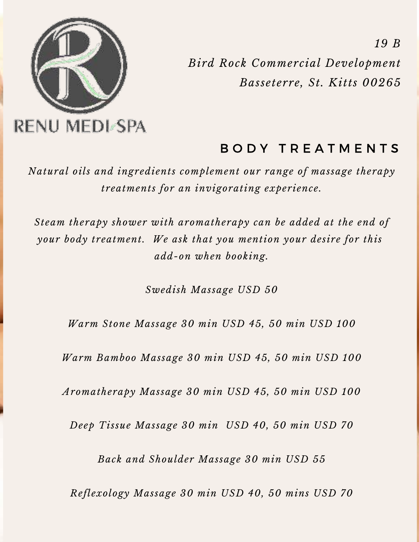

## BODY TREATMENTS

*Natural oils and ingredients complement our range of massage therapy treatments for an invigorating experience.*

*Steam therapy shower with aromatherapy can be added at the end of your body treatment. We ask that you mention your desire for this add-on when booking.*

*Swedish Massage USD 50*

*Warm Stone Massage 30 min USD 45, 50 min USD 100*

*Warm Bamboo Massage 30 min USD 45, 50 min USD 100*

*Aromatherapy Massage 30 min USD 45, 50 min USD 100*

*Deep Tissue Massage 30 min USD 40, 50 min USD 70*

*Back and Shoulder Massage 30 min USD 55*

*Reflexology Massage 30 min USD 40, 50 mins USD 70*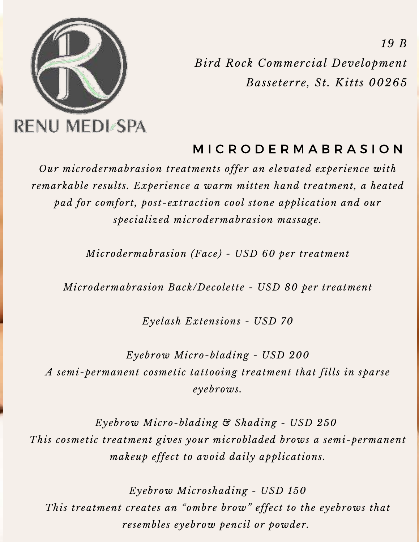

# M I C R O D E R M A B R A S I O N

*Our microdermabrasion treatments offer an elevated experience with remarkable results. Experience a warm mitten hand treatment, a heated pad for comfort, post-extraction cool stone application and our specialized microdermabrasion massage.*

*Microdermabrasion (Face) - USD 60 per treatment*

*Microdermabrasion Back/Decolette - USD 80 per treatment*

*Eyelash Extensions - USD 70*

*Eyebrow Micro-blading - USD 200 A semi-permanent cosmetic tattooing treatment that fills in sparse eyebrows.*

*Eyebrow Micro-blading & Shading - USD 250 This cosmetic treatment gives your microbladed brows a semi-permanent makeup effect to avoid daily applications.*

*Eyebrow Microshading - USD 150 This treatment creates an "ombre brow" effect to the eyebrows that resembles eyebrow pencil or powder.*